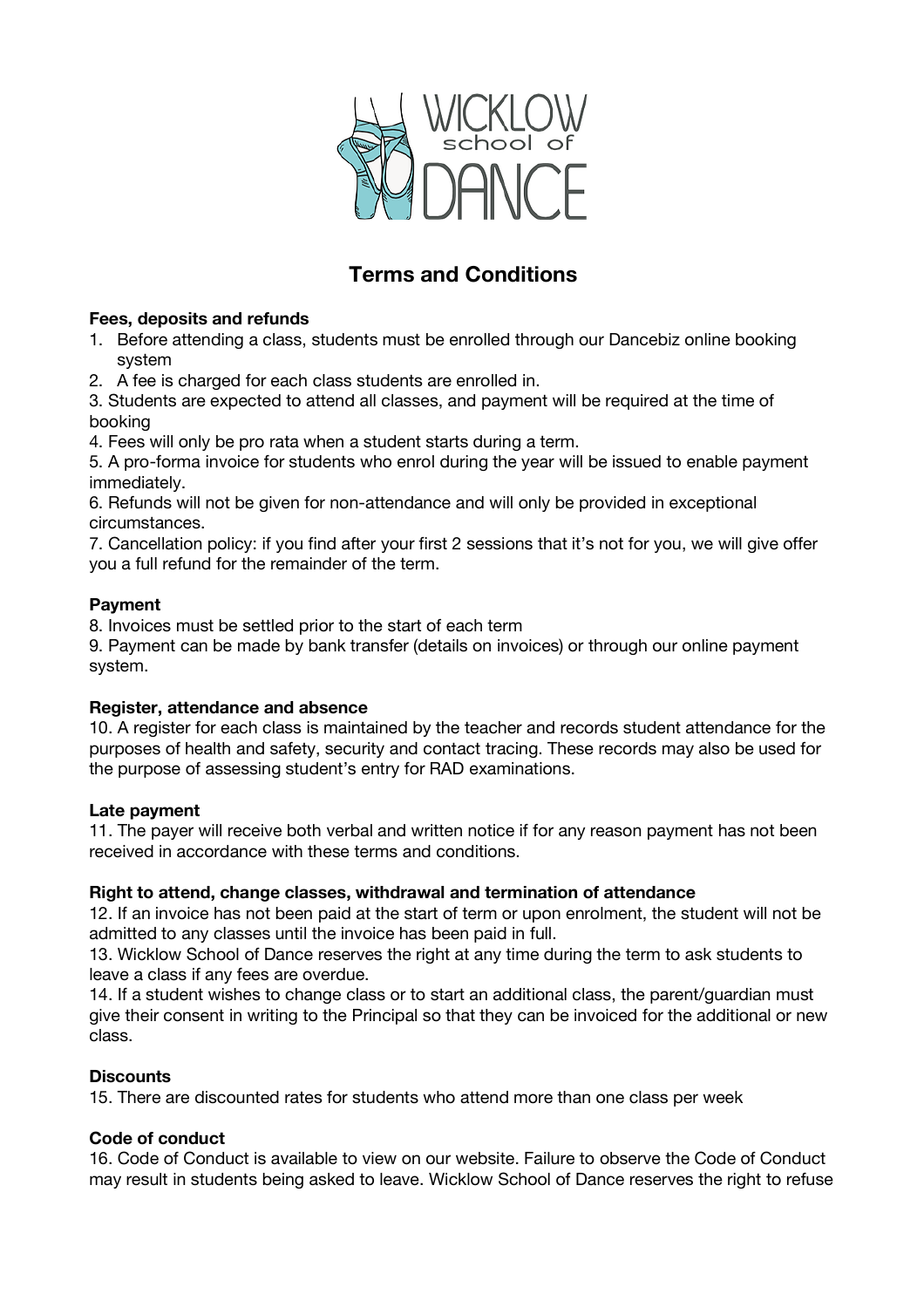

# **Terms and Conditions**

## **Fees, deposits and refunds**

- 1. Before attending a class, students must be enrolled through our Dancebiz online booking system
- 2. A fee is charged for each class students are enrolled in.

3. Students are expected to attend all classes, and payment will be required at the time of booking

4. Fees will only be pro rata when a student starts during a term.

5. A pro-forma invoice for students who enrol during the year will be issued to enable payment immediately.

6. Refunds will not be given for non-attendance and will only be provided in exceptional circumstances.

7. Cancellation policy: if you find after your first 2 sessions that it's not for you, we will give offer you a full refund for the remainder of the term.

### **Payment**

8. Invoices must be settled prior to the start of each term

9. Payment can be made by bank transfer (details on invoices) or through our online payment system.

# **Register, attendance and absence**

10. A register for each class is maintained by the teacher and records student attendance for the purposes of health and safety, security and contact tracing. These records may also be used for the purpose of assessing student's entry for RAD examinations.

# **Late payment**

11. The payer will receive both verbal and written notice if for any reason payment has not been received in accordance with these terms and conditions.

# **Right to attend, change classes, withdrawal and termination of attendance**

12. If an invoice has not been paid at the start of term or upon enrolment, the student will not be admitted to any classes until the invoice has been paid in full.

13. Wicklow School of Dance reserves the right at any time during the term to ask students to leave a class if any fees are overdue.

14. If a student wishes to change class or to start an additional class, the parent/guardian must give their consent in writing to the Principal so that they can be invoiced for the additional or new class.

# **Discounts**

15. There are discounted rates for students who attend more than one class per week

### **Code of conduct**

16. Code of Conduct is available to view on our website. Failure to observe the Code of Conduct may result in students being asked to leave. Wicklow School of Dance reserves the right to refuse